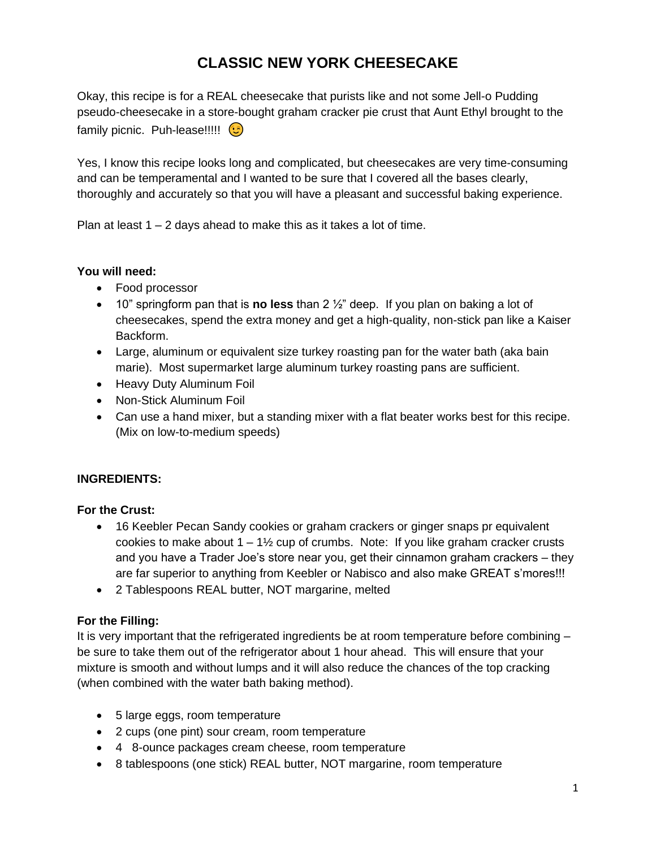# **CLASSIC NEW YORK CHEESECAKE**

Okay, this recipe is for a REAL cheesecake that purists like and not some Jell-o Pudding pseudo-cheesecake in a store-bought graham cracker pie crust that Aunt Ethyl brought to the family picnic. Puh-lease!!!!!

Yes, I know this recipe looks long and complicated, but cheesecakes are very time-consuming and can be temperamental and I wanted to be sure that I covered all the bases clearly, thoroughly and accurately so that you will have a pleasant and successful baking experience.

Plan at least  $1 - 2$  days ahead to make this as it takes a lot of time.

#### **You will need:**

- Food processor
- 10" springform pan that is **no less** than 2 ½" deep. If you plan on baking a lot of cheesecakes, spend the extra money and get a high-quality, non-stick pan like a Kaiser Backform.
- Large, aluminum or equivalent size turkey roasting pan for the water bath (aka bain marie). Most supermarket large aluminum turkey roasting pans are sufficient.
- Heavy Duty Aluminum Foil
- Non-Stick Aluminum Foil
- Can use a hand mixer, but a standing mixer with a flat beater works best for this recipe. (Mix on low-to-medium speeds)

## **INGREDIENTS:**

#### **For the Crust:**

- 16 Keebler Pecan Sandy cookies or graham crackers or ginger snaps pr equivalent cookies to make about  $1 - 1\frac{1}{2}$  cup of crumbs. Note: If you like graham cracker crusts and you have a Trader Joe's store near you, get their cinnamon graham crackers – they are far superior to anything from Keebler or Nabisco and also make GREAT s'mores!!!
- 2 Tablespoons REAL butter, NOT margarine, melted

## **For the Filling:**

It is very important that the refrigerated ingredients be at room temperature before combining – be sure to take them out of the refrigerator about 1 hour ahead. This will ensure that your mixture is smooth and without lumps and it will also reduce the chances of the top cracking (when combined with the water bath baking method).

- 5 large eggs, room temperature
- 2 cups (one pint) sour cream, room temperature
- 4 8-ounce packages cream cheese, room temperature
- 8 tablespoons (one stick) REAL butter, NOT margarine, room temperature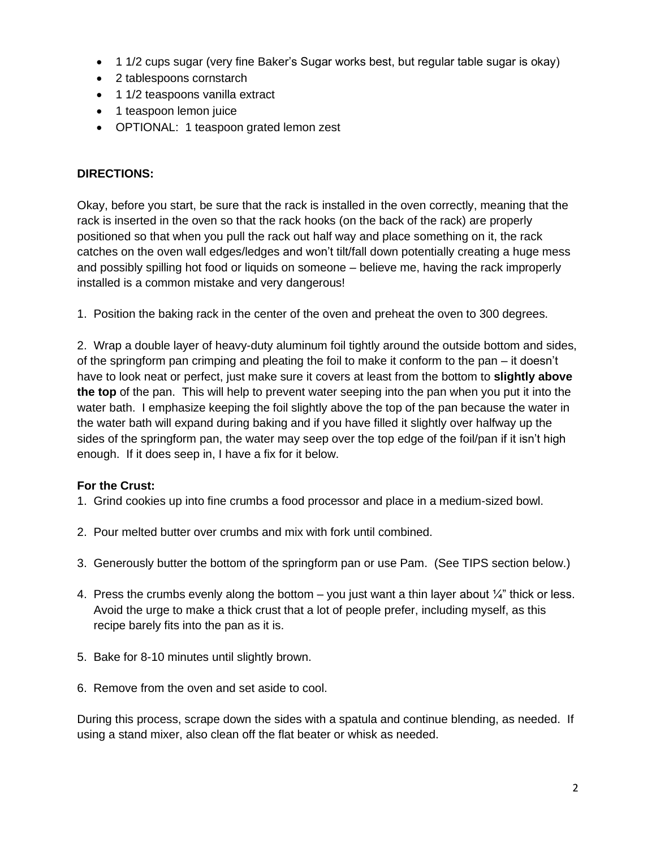- 1 1/2 cups sugar (very fine Baker's Sugar works best, but regular table sugar is okay)
- 2 tablespoons cornstarch
- 1 1/2 teaspoons vanilla extract
- 1 teaspoon lemon juice
- OPTIONAL: 1 teaspoon grated lemon zest

#### **DIRECTIONS:**

Okay, before you start, be sure that the rack is installed in the oven correctly, meaning that the rack is inserted in the oven so that the rack hooks (on the back of the rack) are properly positioned so that when you pull the rack out half way and place something on it, the rack catches on the oven wall edges/ledges and won't tilt/fall down potentially creating a huge mess and possibly spilling hot food or liquids on someone – believe me, having the rack improperly installed is a common mistake and very dangerous!

1. Position the baking rack in the center of the oven and preheat the oven to 300 degrees.

2. Wrap a double layer of heavy-duty aluminum foil tightly around the outside bottom and sides, of the springform pan crimping and pleating the foil to make it conform to the pan – it doesn't have to look neat or perfect, just make sure it covers at least from the bottom to **slightly above the top** of the pan. This will help to prevent water seeping into the pan when you put it into the water bath. I emphasize keeping the foil slightly above the top of the pan because the water in the water bath will expand during baking and if you have filled it slightly over halfway up the sides of the springform pan, the water may seep over the top edge of the foil/pan if it isn't high enough. If it does seep in, I have a fix for it below.

#### **For the Crust:**

- 1. Grind cookies up into fine crumbs a food processor and place in a medium-sized bowl.
- 2. Pour melted butter over crumbs and mix with fork until combined.
- 3. Generously butter the bottom of the springform pan or use Pam. (See TIPS section below.)
- 4. Press the crumbs evenly along the bottom you just want a thin layer about  $\frac{1}{4}$ " thick or less. Avoid the urge to make a thick crust that a lot of people prefer, including myself, as this recipe barely fits into the pan as it is.
- 5. Bake for 8-10 minutes until slightly brown.
- 6. Remove from the oven and set aside to cool.

During this process, scrape down the sides with a spatula and continue blending, as needed. If using a stand mixer, also clean off the flat beater or whisk as needed.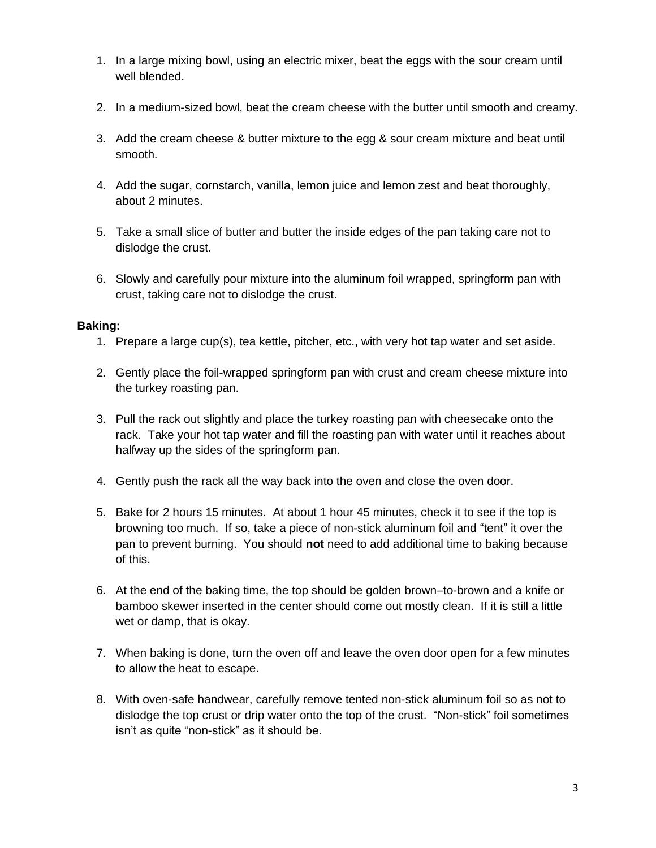- 1. In a large mixing bowl, using an electric mixer, beat the eggs with the sour cream until well blended.
- 2. In a medium-sized bowl, beat the cream cheese with the butter until smooth and creamy.
- 3. Add the cream cheese & butter mixture to the egg & sour cream mixture and beat until smooth.
- 4. Add the sugar, cornstarch, vanilla, lemon juice and lemon zest and beat thoroughly, about 2 minutes.
- 5. Take a small slice of butter and butter the inside edges of the pan taking care not to dislodge the crust.
- 6. Slowly and carefully pour mixture into the aluminum foil wrapped, springform pan with crust, taking care not to dislodge the crust.

#### **Baking:**

- 1. Prepare a large cup(s), tea kettle, pitcher, etc., with very hot tap water and set aside.
- 2. Gently place the foil-wrapped springform pan with crust and cream cheese mixture into the turkey roasting pan.
- 3. Pull the rack out slightly and place the turkey roasting pan with cheesecake onto the rack. Take your hot tap water and fill the roasting pan with water until it reaches about halfway up the sides of the springform pan.
- 4. Gently push the rack all the way back into the oven and close the oven door.
- 5. Bake for 2 hours 15 minutes. At about 1 hour 45 minutes, check it to see if the top is browning too much. If so, take a piece of non-stick aluminum foil and "tent" it over the pan to prevent burning. You should **not** need to add additional time to baking because of this.
- 6. At the end of the baking time, the top should be golden brown–to-brown and a knife or bamboo skewer inserted in the center should come out mostly clean. If it is still a little wet or damp, that is okay.
- 7. When baking is done, turn the oven off and leave the oven door open for a few minutes to allow the heat to escape.
- 8. With oven-safe handwear, carefully remove tented non-stick aluminum foil so as not to dislodge the top crust or drip water onto the top of the crust. "Non-stick" foil sometimes isn't as quite "non-stick" as it should be.